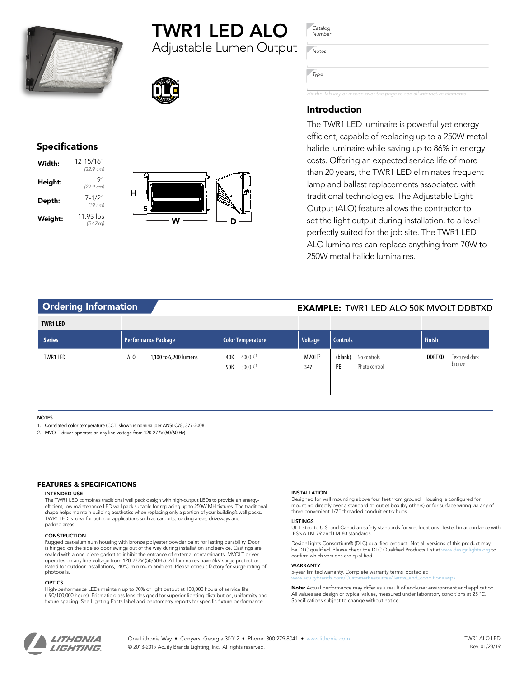

# TWR1 LED ALO

Adjustable Lumen Output



# Specifications

| Width:  | 12-15/16"<br>$(32.9 \text{ cm})$ |
|---------|----------------------------------|
| Height: | Q″<br>(22.9 cm)                  |
| Depth:  | $7 - 1/2"$<br>$(19 \text{ cm})$  |
| Weight: | 11.95 lbs<br>(5.42kg)            |



*Catalog Number*

*Notes*

*Type*

*Hit the Tab key or mouse over the page to see all interactive elements.*

# Introduction

The TWR1 LED luminaire is powerful yet energy efficient, capable of replacing up to a 250W metal halide luminaire while saving up to 86% in energy costs. Offering an expected service life of more than 20 years, the TWR1 LED eliminates frequent lamp and ballast replacements associated with traditional technologies. The Adjustable Light Output (ALO) feature allows the contractor to set the light output during installation, to a level perfectly suited for the job site. The TWR1 LED ALO luminaires can replace anything from 70W to 250W metal halide luminaires.

# Ordering Information **CONTACT CONTROLS AND ACCEPT AND REXAMPLE:** TWR1 LED ALO 50K MVOLT DDBTXD

| <b>TWR1 LED</b> |                                          |                                                |                           |                                               |                                          |
|-----------------|------------------------------------------|------------------------------------------------|---------------------------|-----------------------------------------------|------------------------------------------|
| <b>Series</b>   | <b>Performance Package</b>               | Color Temperature                              | Voltage                   | <b>Controls</b>                               | <b>Finish</b>                            |
| TWR1 LED        | AL <sub>0</sub><br>1,100 to 6,200 lumens | 4000 $K1$<br>40K<br>5000 K <sup>1</sup><br>50K | MVOLT <sup>2</sup><br>347 | (blank)<br>No controls<br>PE<br>Photo control | <b>DDBTXD</b><br>Textured dark<br>bronze |

## **NOTES**

1. Correlated color temperature (CCT) shown is nominal per ANSI C78, 377-2008.

2. MVOLT driver operates on any line voltage from 120-277V (50/60 Hz).

## FEATURES & SPECIFICATIONS

#### INTENDED USE

The TWR1 LED combines traditional wall pack design with high-output LEDs to provide an energy-efficient, low maintenance LED wall pack suitable for replacing up to 250W MH fixtures. The traditional shape helps maintain building aesthetics when replacing only a portion of your building's wall packs. TWR1 LED is ideal for outdoor applications such as carports, loading areas, driveways and parking areas

#### **CONSTRUCTION**

Rugged cast-aluminum housing with bronze polyester powder paint for lasting durability. Door is hinged on the side so door swings out of the way during installation and service. Castings are sealed with a one-piece gasket to inhibit the entrance of external contaminants. MVOLT driver operates on any line voltage from 120-277V (50/60Hz). All luminaires have 6kV surge protection. Rated for outdoor installations, -40ºC minimum ambient. Please consult factory for surge rating of photocells.

#### **OPTICS**

High-performance LEDs maintain up to 90% of light output at 100,000 hours of service life (L90/100,000 hours). Prismatic glass lens designed for superior lighting distribution, uniformity and fixture spacing. See Lighting Facts label and photometry reports for specific fixture performance.

#### INSTALLATION

Designed for wall mounting above four feet from ground. Housing is configured for mounting directly over a standard 4" outlet box (by others) or for surface wiring via any of three convenient 1/2" threaded conduit entry hubs.

#### **LISTINGS**

UL Listed to U.S. and Canadian safety standards for wet locations. Tested in accordance with IESNA LM-79 and LM-80 standards.

DesignLights Consortium® (DLC) qualified product. Not all versions of this product may be DLC qualified. Please check the DLC Qualified Products List at [www.designlights.org](http://www.designlights.org) to confirm which versions are qualified.

#### WARRANTY

5-year limited warranty. Complete warranty terms located at: [www.acuitybrands.com/CustomerResources/Terms\\_and\\_conditions.aspx.](www.acuitybrands.com/CustomerResources/Terms_and_conditions.aspx)

Note: Actual performance may differ as a result of end-user environment and application. All values are design or typical values, measured under laboratory conditions at 25 °C Specifications subject to change without notice.



One Lithonia Way • Conyers, Georgia 30012 • Phone: 800.279.8041 • [www.lithonia.com](http://www.lithonia.com) © 2013-2019 Acuity Brands Lighting, Inc. All rights reserved.